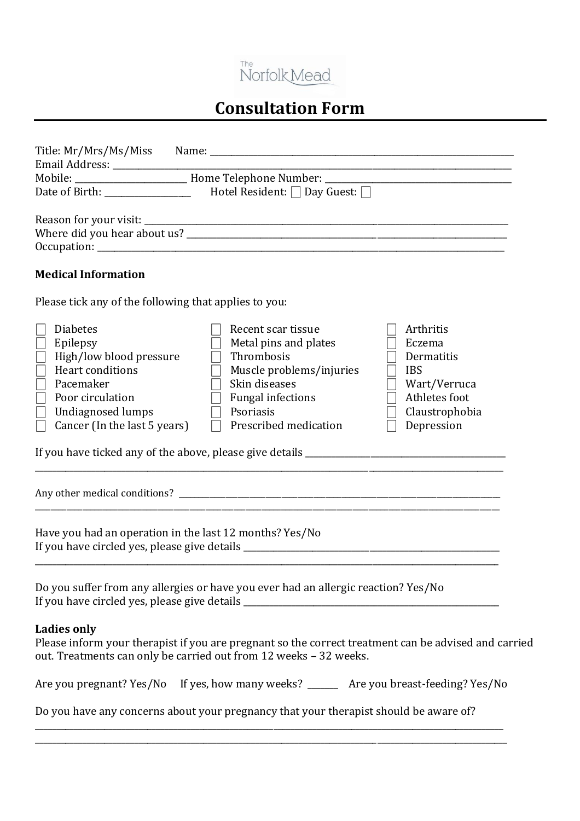

## **Consultation Form**

| Hotel Resident: $\Box$ Day Guest: $\Box$                                                                                                                                                                     |                                                                                                                                                                                                                                                                                              |  |
|--------------------------------------------------------------------------------------------------------------------------------------------------------------------------------------------------------------|----------------------------------------------------------------------------------------------------------------------------------------------------------------------------------------------------------------------------------------------------------------------------------------------|--|
|                                                                                                                                                                                                              |                                                                                                                                                                                                                                                                                              |  |
|                                                                                                                                                                                                              |                                                                                                                                                                                                                                                                                              |  |
|                                                                                                                                                                                                              |                                                                                                                                                                                                                                                                                              |  |
|                                                                                                                                                                                                              |                                                                                                                                                                                                                                                                                              |  |
| <b>Medical Information</b>                                                                                                                                                                                   |                                                                                                                                                                                                                                                                                              |  |
| Please tick any of the following that applies to you:                                                                                                                                                        |                                                                                                                                                                                                                                                                                              |  |
| <b>Diabetes</b><br>Epilepsy<br>$\vert \ \vert$<br>High/low blood pressure<br>Heart conditions<br>Pacemaker<br>$\mathbb{R}^n$<br>Poor circulation<br><b>Undiagnosed lumps</b><br>Cancer (In the last 5 years) | Recent scar tissue<br>Arthritis<br>Metal pins and plates<br>Eczema<br>Thrombosis<br>Dermatitis<br>Muscle problems/injuries<br><b>IBS</b><br>Skin diseases<br>Wart/Verruca<br>Athletes foot<br><b>Fungal infections</b><br>Claustrophobia<br>Psoriasis<br>Prescribed medication<br>Depression |  |
|                                                                                                                                                                                                              |                                                                                                                                                                                                                                                                                              |  |
| Have you had an operation in the last 12 months? Yes/No                                                                                                                                                      |                                                                                                                                                                                                                                                                                              |  |
|                                                                                                                                                                                                              | Do you suffer from any allergies or have you ever had an allergic reaction? Yes/No<br>If you have circled yes, please give details ___________________________________                                                                                                                       |  |
| <b>Ladies only</b>                                                                                                                                                                                           | Please inform your therapist if you are pregnant so the correct treatment can be advised and carried<br>out. Treatments can only be carried out from 12 weeks - 32 weeks.                                                                                                                    |  |
|                                                                                                                                                                                                              | Are you pregnant? Yes/No If yes, how many weeks? ______ Are you breast-feeding? Yes/No                                                                                                                                                                                                       |  |
|                                                                                                                                                                                                              | Do you have any concerns about your pregnancy that your therapist should be aware of?                                                                                                                                                                                                        |  |
|                                                                                                                                                                                                              |                                                                                                                                                                                                                                                                                              |  |